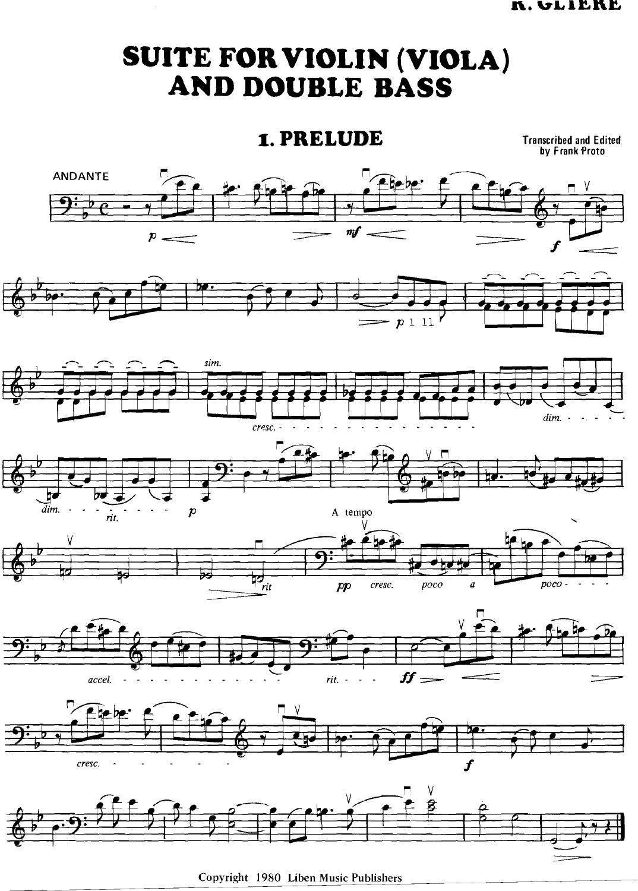## SUITE FOR VIOLIN (VIOLA) AND DOUBLE BASS

## 1. PRELUDE

**Transcribed and Edited<br>by Frank Proto** 



Copyright 1980 Liben Music Publishers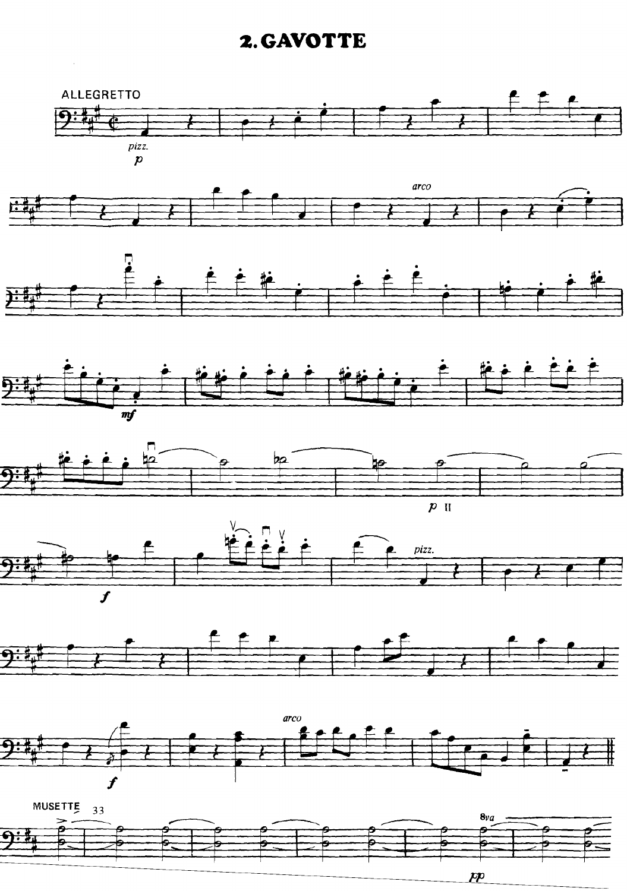## **GAVOTTE**





 $\bm{\mathcal{P}}$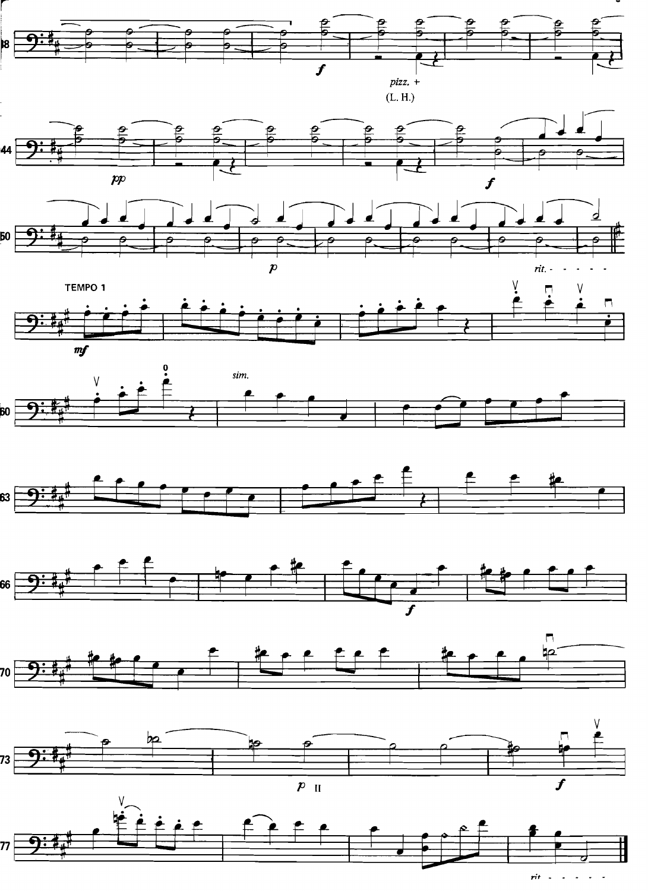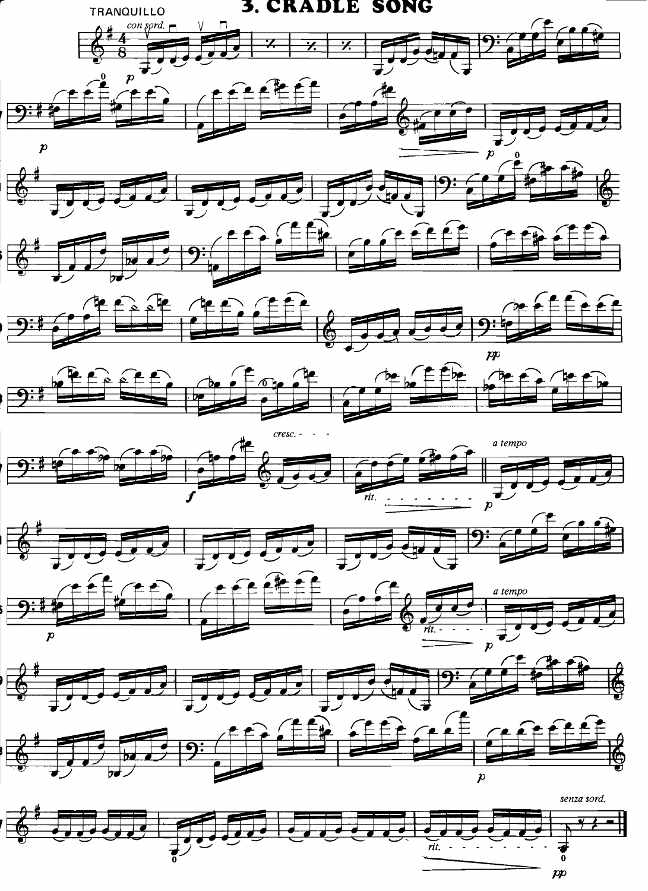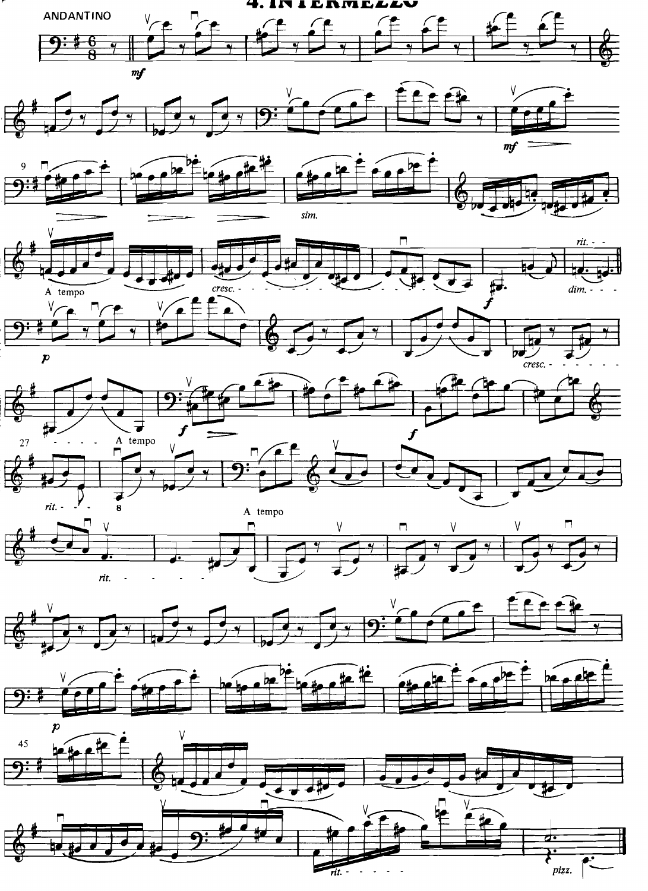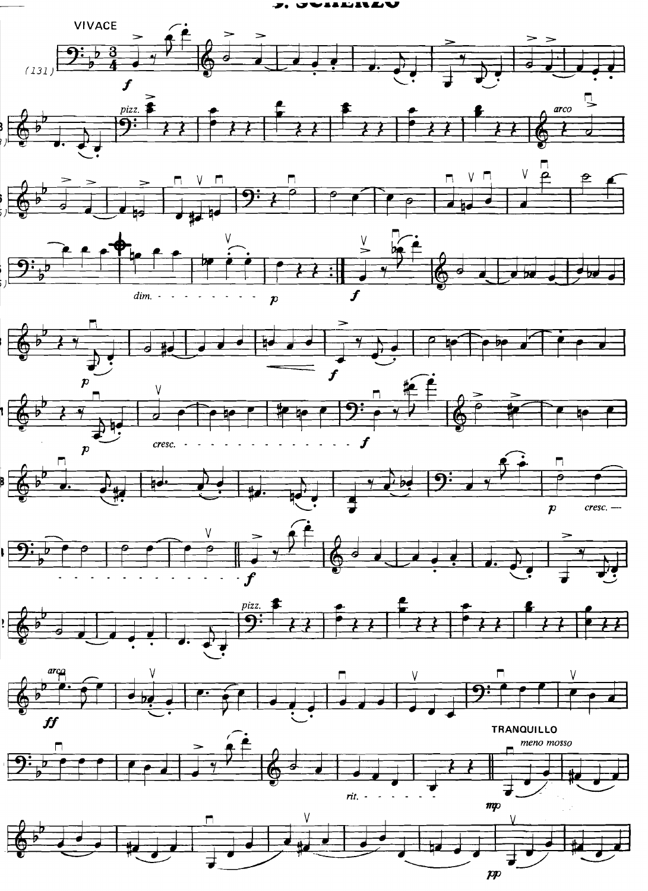